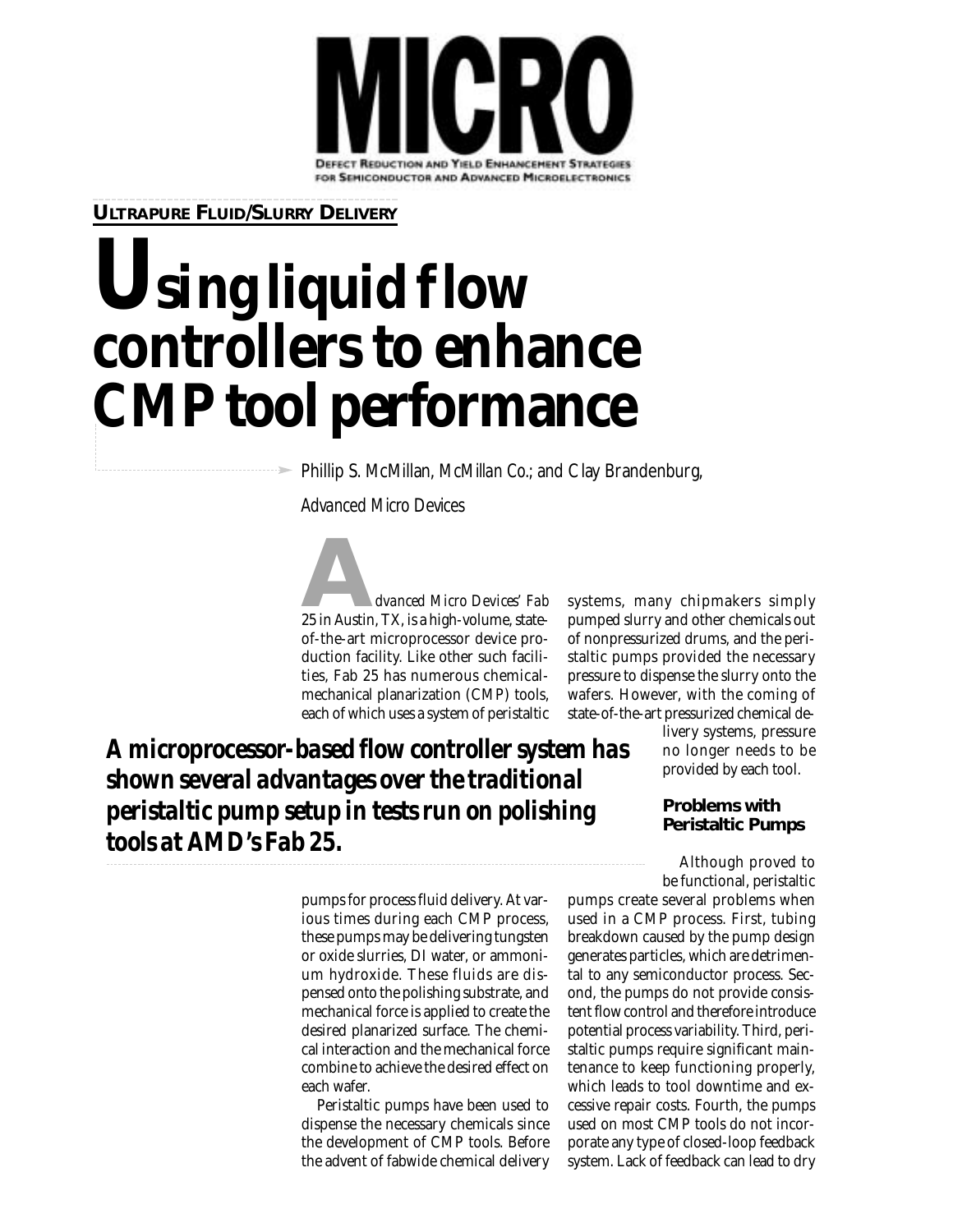

**ULTRAPURE FLUID/SLURRY DELIVERY**

# Using liquid flow **controllers to enhance CMP tool performance**

Phillip S. McMillan, *McMillan Co.*; and Clay Brandenburg,

*Advanced Micro Devices*

**A***dvanced Micro Devices' Fab* 25 in Austin, TX, is a high-volume, stateof-the-art microprocessor device production facility. Like other such facilities, Fab 25 has numerous chemicalmechanical planarization (CMP) tools, each of which uses a system of peristaltic

systems, many chipmakers simply pumped slurry and other chemicals out of nonpressurized drums, and the peristaltic pumps provided the necessary pressure to dispense the slurry onto the wafers. However, with the coming of state-of-the-art pressurized chemical de-

*A microprocessor-based flow controller system has shown several advantages over the traditional peristaltic pump setup in tests run on polishing tools at AMD's Fab 25.* 

livery systems, pressure no longer needs to be provided by each tool.

## **Problems with Peristaltic Pumps**

Although proved to be functional, peristaltic

pumps for process fluid delivery. At various times during each CMP process, these pumps may be delivering tungsten or oxide slurries, DI water, or ammonium hydroxide. These fluids are dispensed onto the polishing substrate, and mechanical force is applied to create the desired planarized surface. The chemical interaction and the mechanical force combine to achieve the desired effect on each wafer.

Peristaltic pumps have been used to dispense the necessary chemicals since the development of CMP tools. Before the advent of fabwide chemical delivery

pumps create several problems when used in a CMP process. First, tubing breakdown caused by the pump design generates particles, which are detrimental to any semiconductor process. Second, the pumps do not provide consistent flow control and therefore introduce potential process variability. Third, peristaltic pumps require significant maintenance to keep functioning properly, which leads to tool downtime and excessive repair costs. Fourth, the pumps used on most CMP tools do not incorporate any type of closed-loop feedback system. Lack of feedback can lead to dry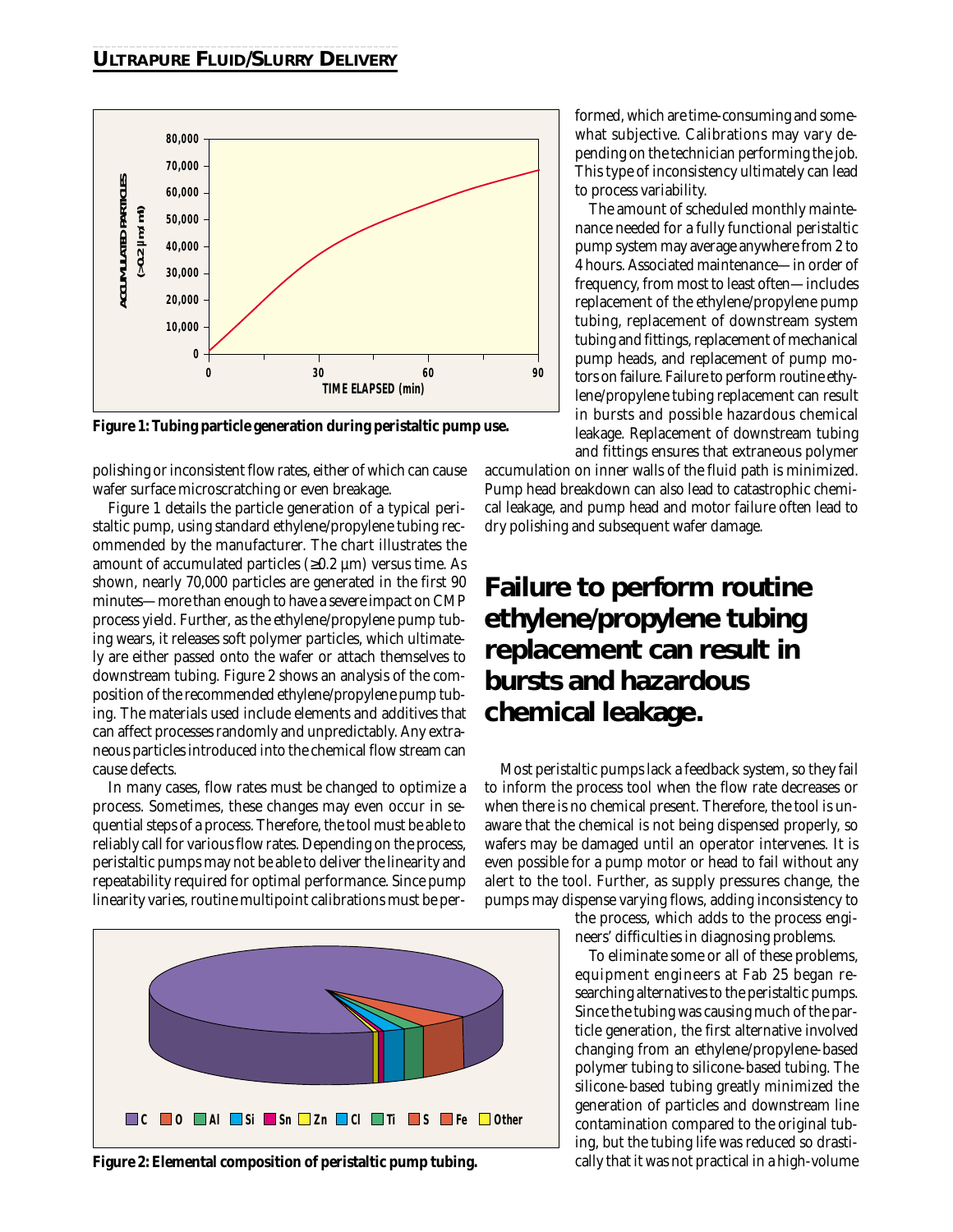

polishing or inconsistent flow rates, either of which can cause wafer surface microscratching or even breakage.

Figure 1 details the particle generation of a typical peristaltic pump, using standard ethylene/propylene tubing recommended by the manufacturer. The chart illustrates the amount of accumulated particles  $(\geq 0.2 \mu m)$  versus time. As shown, nearly 70,000 particles are generated in the first 90 minutes—more than enough to have a severe impact on CMP process yield. Further, as the ethylene/propylene pump tubing wears, it releases soft polymer particles, which ultimately are either passed onto the wafer or attach themselves to downstream tubing. Figure 2 shows an analysis of the composition of the recommended ethylene/propylene pump tubing. The materials used include elements and additives that can affect processes randomly and unpredictably. Any extraneous particles introduced into the chemical flow stream can cause defects.

In many cases, flow rates must be changed to optimize a process. Sometimes, these changes may even occur in sequential steps of a process. Therefore, the tool must be able to reliably call for various flow rates. Depending on the process, peristaltic pumps may not be able to deliver the linearity and repeatability required for optimal performance. Since pump linearity varies, routine multipoint calibrations must be per-



**Figure 2: Elemental composition of peristaltic pump tubing.**

formed, which are time-consuming and somewhat subjective. Calibrations may vary depending on the technician performing the job. This type of inconsistency ultimately can lead to process variability.

The amount of scheduled monthly maintenance needed for a fully functional peristaltic pump system may average anywhere from 2 to 4 hours. Associated maintenance—in order of frequency, from most to least often—includes replacement of the ethylene/propylene pump tubing, replacement of downstream system tubing and fittings, replacement of mechanical pump heads, and replacement of pump motors on failure. Failure to perform routine ethylene/propylene tubing replacement can result in bursts and possible hazardous chemical leakage. Replacement of downstream tubing and fittings ensures that extraneous polymer

accumulation on inner walls of the fluid path is minimized. Pump head breakdown can also lead to catastrophic chemical leakage, and pump head and motor failure often lead to dry polishing and subsequent wafer damage.

# **Failure to perform routine ethylene/propylene tubing replacement can result in bursts and hazardous chemical leakage.**

Most peristaltic pumps lack a feedback system, so they fail to inform the process tool when the flow rate decreases or when there is no chemical present. Therefore, the tool is unaware that the chemical is not being dispensed properly, so wafers may be damaged until an operator intervenes. It is even possible for a pump motor or head to fail without any alert to the tool. Further, as supply pressures change, the pumps may dispense varying flows, adding inconsistency to

> the process, which adds to the process engineers' difficulties in diagnosing problems.

> To eliminate some or all of these problems, equipment engineers at Fab 25 began researching alternatives to the peristaltic pumps. Since the tubing was causing much of the particle generation, the first alternative involved changing from an ethylene/propylene-based polymer tubing to silicone-based tubing. The silicone-based tubing greatly minimized the generation of particles and downstream line contamination compared to the original tubing, but the tubing life was reduced so drastically that it was not practical in a high-volume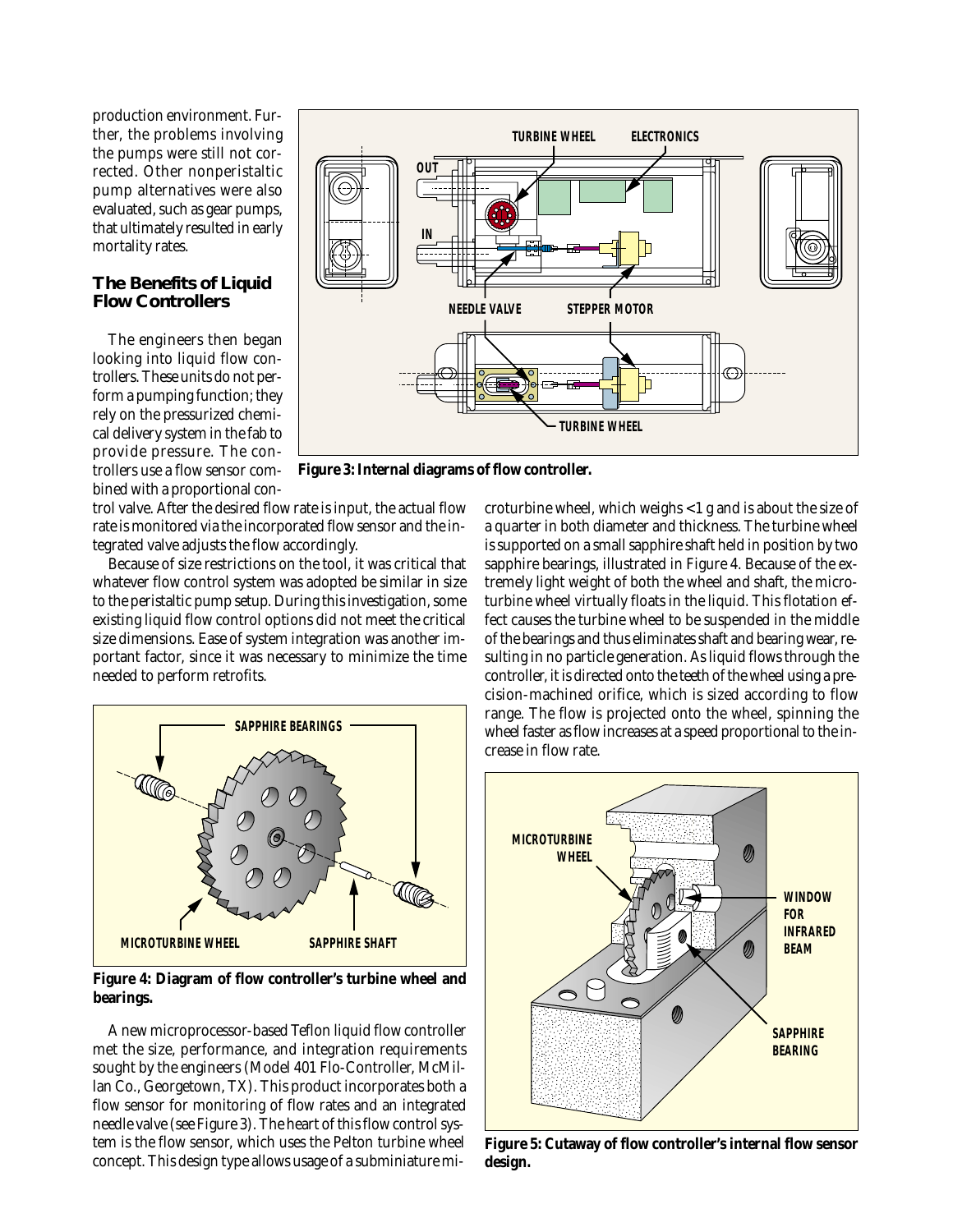production environment. Further, the problems involving the pumps were still not corrected. Other nonperistaltic pump alternatives were also evaluated, such as gear pumps, that ultimately resulted in early mortality rates.

#### **The Benefits of Liquid Flow Controllers**

The engineers then began looking into liquid flow controllers. These units do not perform a pumping function; they rely on the pressurized chemical delivery system in the fab to provide pressure. The controllers use a flow sensor combined with a proportional con-



**Figure 3: Internal diagrams of flow controller.**

trol valve. After the desired flow rate is input, the actual flow rate is monitored via the incorporated flow sensor and the integrated valve adjusts the flow accordingly.

Because of size restrictions on the tool, it was critical that whatever flow control system was adopted be similar in size to the peristaltic pump setup. During this investigation, some existing liquid flow control options did not meet the critical size dimensions. Ease of system integration was another important factor, since it was necessary to minimize the time needed to perform retrofits.



**Figure 4: Diagram of flow controller's turbine wheel and bearings.**

A new microprocessor-based Teflon liquid flow controller met the size, performance, and integration requirements sought by the engineers (Model 401 Flo-Controller, McMillan Co., Georgetown, TX). This product incorporates both a flow sensor for monitoring of flow rates and an integrated needle valve (see Figure 3). The heart of this flow control system is the flow sensor, which uses the Pelton turbine wheel concept. This design type allows usage of a subminiature mi-

croturbine wheel, which weighs <1 g and is about the size of a quarter in both diameter and thickness. The turbine wheel is supported on a small sapphire shaft held in position by two sapphire bearings, illustrated in Figure 4. Because of the extremely light weight of both the wheel and shaft, the microturbine wheel virtually floats in the liquid. This flotation effect causes the turbine wheel to be suspended in the middle of the bearings and thus eliminates shaft and bearing wear, resulting in no particle generation. As liquid flows through the controller, it is directed onto the teeth of the wheel using a precision-machined orifice, which is sized according to flow range. The flow is projected onto the wheel, spinning the wheel faster as flow increases at a speed proportional to the increase in flow rate.



**Figure 5: Cutaway of flow controller's internal flow sensor design.**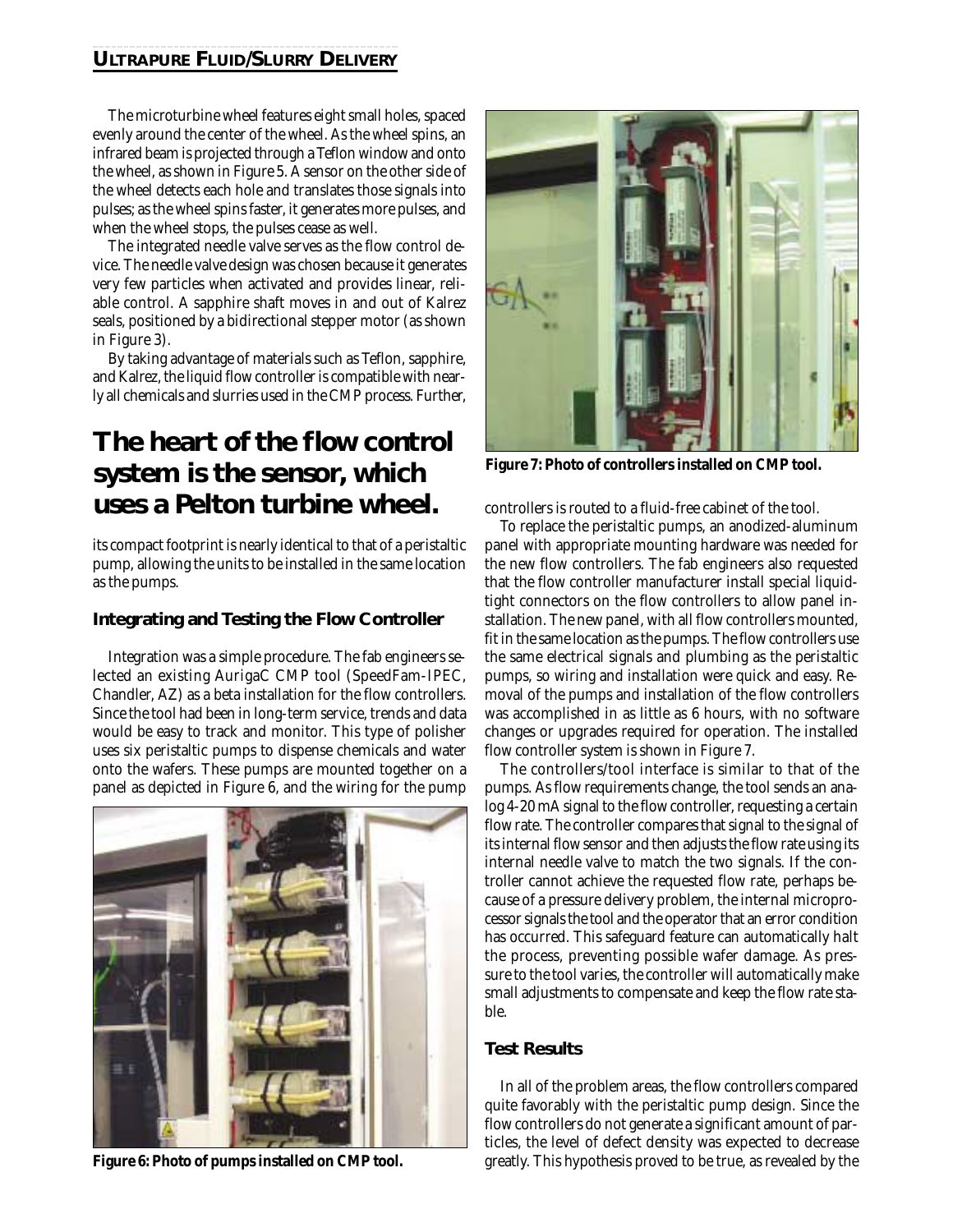## **ULTRAPURE FLUID/SLURRY DELIVERY**

The microturbine wheel features eight small holes, spaced evenly around the center of the wheel. As the wheel spins, an infrared beam is projected through a Teflon window and onto the wheel, as shown in Figure 5. A sensor on the other side of the wheel detects each hole and translates those signals into pulses; as the wheel spins faster, it generates more pulses, and when the wheel stops, the pulses cease as well.

The integrated needle valve serves as the flow control device. The needle valve design was chosen because it generates very few particles when activated and provides linear, reliable control. A sapphire shaft moves in and out of Kalrez seals, positioned by a bidirectional stepper motor (as shown in Figure 3).

By taking advantage of materials such as Teflon, sapphire, and Kalrez, the liquid flow controller is compatible with nearly all chemicals and slurries used in the CMP process. Further,

## **The heart of the flow control system is the sensor, which uses a Pelton turbine wheel.**

its compact footprint is nearly identical to that of a peristaltic pump, allowing the units to be installed in the same location as the pumps.

## **Integrating and Testing the Flow Controller**

Integration was a simple procedure. The fab engineers selected an existing AurigaC CMP tool (SpeedFam-IPEC, Chandler, AZ) as a beta installation for the flow controllers. Since the tool had been in long-term service, trends and data would be easy to track and monitor. This type of polisher uses six peristaltic pumps to dispense chemicals and water onto the wafers. These pumps are mounted together on a panel as depicted in Figure 6, and the wiring for the pump





**Figure 7: Photo of controllers installed on CMP tool.**

controllers is routed to a fluid-free cabinet of the tool.

To replace the peristaltic pumps, an anodized-aluminum panel with appropriate mounting hardware was needed for the new flow controllers. The fab engineers also requested that the flow controller manufacturer install special liquidtight connectors on the flow controllers to allow panel installation. The new panel, with all flow controllers mounted, fit in the same location as the pumps. The flow controllers use the same electrical signals and plumbing as the peristaltic pumps, so wiring and installation were quick and easy. Removal of the pumps and installation of the flow controllers was accomplished in as little as 6 hours, with no software changes or upgrades required for operation. The installed flow controller system is shown in Figure 7.

The controllers/tool interface is similar to that of the pumps. As flow requirements change, the tool sends an analog 4-20 mA signal to the flow controller, requesting a certain flow rate. The controller compares that signal to the signal of its internal flow sensor and then adjusts the flow rate using its internal needle valve to match the two signals. If the controller cannot achieve the requested flow rate, perhaps because of a pressure delivery problem, the internal microprocessor signals the tool and the operator that an error condition has occurred. This safeguard feature can automatically halt the process, preventing possible wafer damage. As pressure to the tool varies, the controller will automatically make small adjustments to compensate and keep the flow rate stable.

## **Test Results**

In all of the problem areas, the flow controllers compared quite favorably with the peristaltic pump design. Since the flow controllers do not generate a significant amount of particles, the level of defect density was expected to decrease **Figure 6: Photo of pumps installed on CMP tool.** greatly. This hypothesis proved to be true, as revealed by the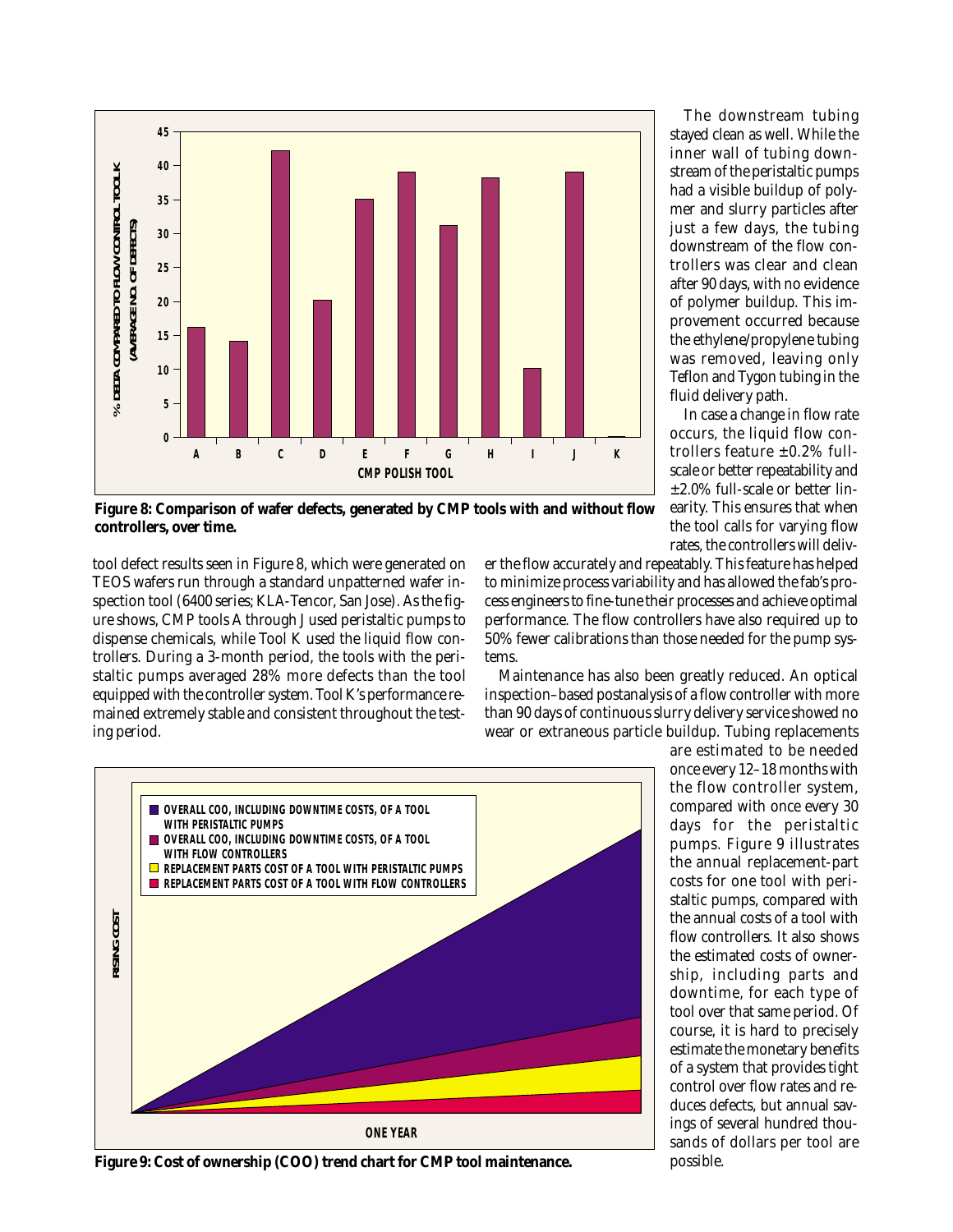

The downstream tubing stayed clean as well. While the inner wall of tubing downstream of the peristaltic pumps had a visible buildup of polymer and slurry particles after just a few days, the tubing downstream of the flow controllers was clear and clean after 90 days, with no evidence of polymer buildup. This improvement occurred because the ethylene/propylene tubing was removed, leaving only Teflon and Tygon tubing in the fluid delivery path.

In case a change in flow rate occurs, the liquid flow controllers feature  $\pm 0.2\%$  fullscale or better repeatability and ±2.0% full-scale or better linearity. This ensures that when the tool calls for varying flow rates, the controllers will deliv-

**Figure 8: Comparison of wafer defects, generated by CMP tools with and without flow controllers, over time.**

tool defect results seen in Figure 8, which were generated on TEOS wafers run through a standard unpatterned wafer inspection tool (6400 series; KLA-Tencor, San Jose). As the figure shows, CMP tools A through J used peristaltic pumps to dispense chemicals, while Tool K used the liquid flow controllers. During a 3-month period, the tools with the peristaltic pumps averaged 28% more defects than the tool equipped with the controller system. Tool K's performance remained extremely stable and consistent throughout the testing period.

er the flow accurately and repeatably. This feature has helped to minimize process variability and has allowed the fab's process engineers to fine-tune their processes and achieve optimal performance. The flow controllers have also required up to 50% fewer calibrations than those needed for the pump systems.

Maintenance has also been greatly reduced. An optical inspection–based postanalysis of a flow controller with more than 90 days of continuous slurry delivery service showed no wear or extraneous particle buildup. Tubing replacements



**Figure 9: Cost of ownership (COO) trend chart for CMP tool maintenance.**

are estimated to be needed once every 12–18 months with the flow controller system, compared with once every 30 days for the peristaltic pumps. Figure 9 illustrates the annual replacement-part costs for one tool with peristaltic pumps, compared with the annual costs of a tool with flow controllers. It also shows the estimated costs of ownership, including parts and downtime, for each type of tool over that same period. Of course, it is hard to precisely estimate the monetary benefits of a system that provides tight control over flow rates and reduces defects, but annual savings of several hundred thousands of dollars per tool are possible.